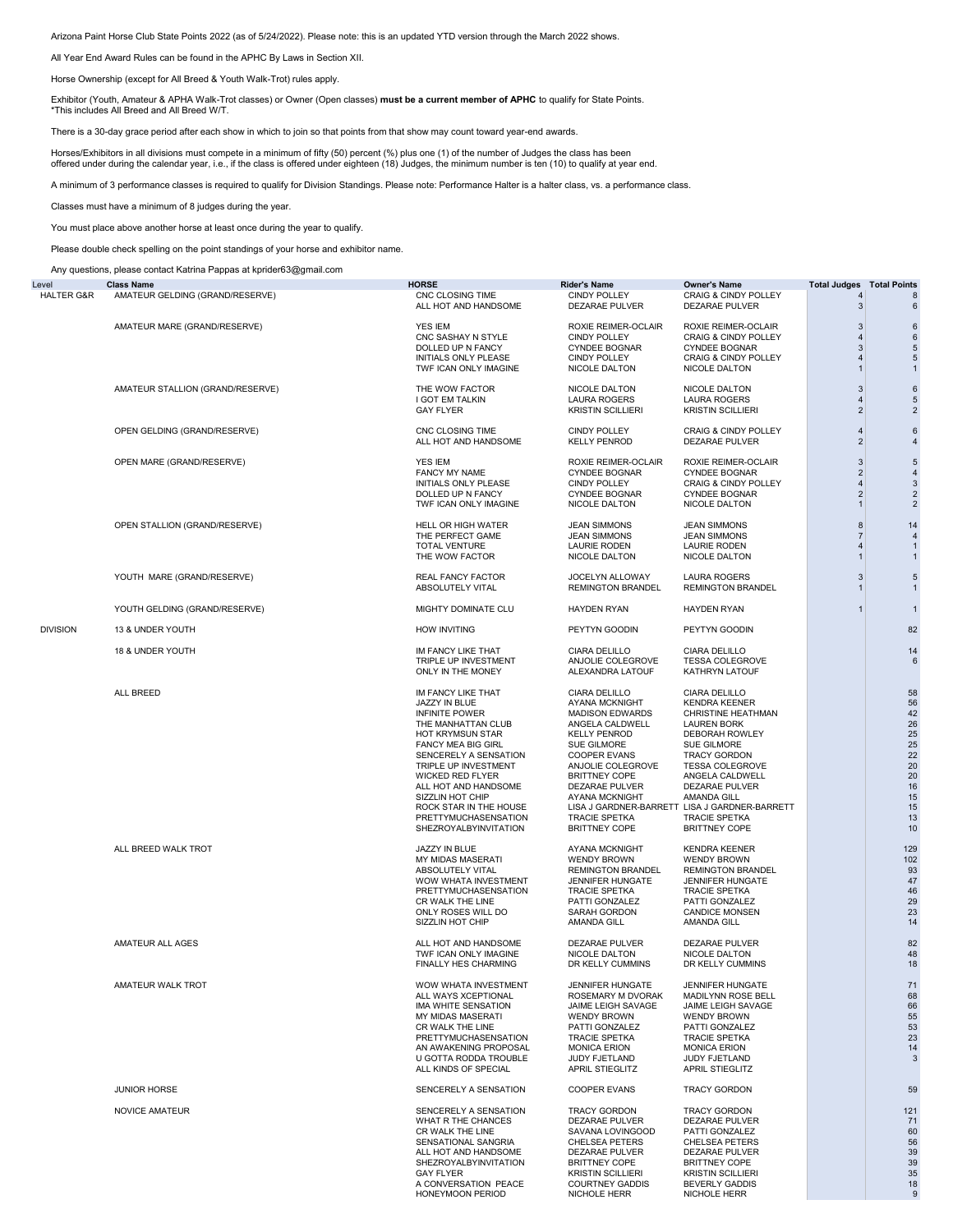Arizona Paint Horse Club State Points 2022 (as of 5/24/2022). Please note: this is an updated YTD version through the March 2022 shows.

All Year End Award Rules can be found in the APHC By Laws in Section XII.

Horse Ownership (except for All Breed & Youth Walk-Trot) rules apply.

Exhibitor (Youth, Amateur & APHA Walk-Trot classes) or Owner (Open classes) **must be a current member of APHC** to qualify for State Points. \*This includes All Breed and All Breed W/T.

There is a 30-day grace period after each show in which to join so that points from that show may count toward year-end awards.

Horses/Exhibitors in all divisions must compete in a minimum of fifty (50) percent (%) plus one (1) of the number of Judges the class has been offered under during the calendar year, i.e., if the class is offered under eighteen (18) Judges, the minimum number is ten (10) to qualify at year end.

A minimum of 3 performance classes is required to qualify for Division Standings. Please note: Performance Halter is a halter class, vs. a performance class.

Classes must have a minimum of 8 judges during the year.

You must place above another horse at least once during the year to qualify.

Please double check spelling on the point standings of your horse and exhibitor name.

Any questions, please contact Katrina Pappas at kprider63@gmail.com

| Level                 | <b>Class Name</b>                | <b>HORSE</b>                                                                                                                                                                                                                                                                                                                    | Rider's Name                                                                                                                                                                                                                                                        | Owner's Name                                                                                                                                                                                                                                                                                                             | Total Judges                                                                       | <b>Total Points</b>                                                              |
|-----------------------|----------------------------------|---------------------------------------------------------------------------------------------------------------------------------------------------------------------------------------------------------------------------------------------------------------------------------------------------------------------------------|---------------------------------------------------------------------------------------------------------------------------------------------------------------------------------------------------------------------------------------------------------------------|--------------------------------------------------------------------------------------------------------------------------------------------------------------------------------------------------------------------------------------------------------------------------------------------------------------------------|------------------------------------------------------------------------------------|----------------------------------------------------------------------------------|
| <b>HALTER G&amp;R</b> | AMATEUR GELDING (GRAND/RESERVE)  | CNC CLOSING TIME<br>ALL HOT AND HANDSOME                                                                                                                                                                                                                                                                                        | <b>CINDY POLLEY</b><br><b>DEZARAE PULVER</b>                                                                                                                                                                                                                        | <b>CRAIG &amp; CINDY POLLEY</b><br>DEZARAE PULVER                                                                                                                                                                                                                                                                        | $\overline{4}$<br>3                                                                | 8<br>6                                                                           |
|                       | AMATEUR MARE (GRAND/RESERVE)     | YES IEM<br>CNC SASHAY N STYLE<br>DOLLED UP N FANCY<br>INITIALS ONLY PLEASE<br>TWF ICAN ONLY IMAGINE                                                                                                                                                                                                                             | ROXIE REIMER-OCLAIR<br><b>CINDY POLLEY</b><br>CYNDEE BOGNAR<br>CINDY POLLEY<br>NICOLE DALTON                                                                                                                                                                        | <b>ROXIE REIMER-OCLAIR</b><br>CRAIG & CINDY POLLEY<br><b>CYNDEE BOGNAR</b><br>CRAIG & CINDY POLLEY<br>NICOLE DALTON                                                                                                                                                                                                      | 3<br>$\overline{4}$<br>3<br>$\overline{4}$<br>$\overline{1}$                       | 6<br>$\,6$<br>5<br>5<br>$\mathbf{1}$                                             |
|                       | AMATEUR STALLION (GRAND/RESERVE) | THE WOW FACTOR<br>I GOT EM TALKIN<br><b>GAY FLYER</b>                                                                                                                                                                                                                                                                           | <b>NICOLE DALTON</b><br><b>LAURA ROGERS</b><br><b>KRISTIN SCILLIERI</b>                                                                                                                                                                                             | <b>NICOLE DALTON</b><br>LAURA ROGERS<br><b>KRISTIN SCILLIERI</b>                                                                                                                                                                                                                                                         | 3<br>$\overline{4}$<br>$\overline{2}$                                              | $\,6$<br>5<br>$\overline{2}$                                                     |
|                       | OPEN GELDING (GRAND/RESERVE)     | CNC CLOSING TIME<br>ALL HOT AND HANDSOME                                                                                                                                                                                                                                                                                        | <b>CINDY POLLEY</b><br><b>KELLY PENROD</b>                                                                                                                                                                                                                          | <b>CRAIG &amp; CINDY POLLEY</b><br>DEZARAE PULVER                                                                                                                                                                                                                                                                        | $\overline{4}$<br>$\overline{2}$                                                   | $\,6$<br>$\overline{4}$                                                          |
|                       | OPEN MARE (GRAND/RESERVE)        | YES IEM<br><b>FANCY MY NAME</b><br>INITIALS ONLY PLEASE<br>DOLLED UP N FANCY<br>TWF ICAN ONLY IMAGINE                                                                                                                                                                                                                           | ROXIE REIMER-OCLAIR<br><b>CYNDEE BOGNAR</b><br><b>CINDY POLLEY</b><br><b>CYNDEE BOGNAR</b><br>NICOLE DALTON                                                                                                                                                         | ROXIE REIMER-OCLAIR<br><b>CYNDEE BOGNAR</b><br><b>CRAIG &amp; CINDY POLLEY</b><br><b>CYNDEE BOGNAR</b><br><b>NICOLE DALTON</b>                                                                                                                                                                                           | $\mathbf{3}$<br>$\overline{2}$<br>$\overline{A}$<br>$\overline{2}$<br>$\mathbf{1}$ | 5<br>$\overline{4}$<br>3<br>$\overline{2}$<br>$\overline{2}$                     |
|                       | OPEN STALLION (GRAND/RESERVE)    | HELL OR HIGH WATER<br>THE PERFECT GAME<br><b>TOTAL VENTURE</b><br>THE WOW FACTOR                                                                                                                                                                                                                                                | <b>JEAN SIMMONS</b><br><b>JEAN SIMMONS</b><br><b>LAURIE RODEN</b><br>NICOLE DALTON                                                                                                                                                                                  | <b>JEAN SIMMONS</b><br><b>JEAN SIMMONS</b><br><b>LAURIE RODEN</b><br>NICOLE DALTON                                                                                                                                                                                                                                       | 8<br>$\overline{7}$<br>$\overline{4}$                                              | 14<br>$\overline{4}$<br>$\overline{1}$                                           |
|                       | YOUTH MARE (GRAND/RESERVE)       | REAL FANCY FACTOR<br>ABSOLUTELY VITAL                                                                                                                                                                                                                                                                                           | JOCELYN ALLOWAY<br><b>REMINGTON BRANDEL</b>                                                                                                                                                                                                                         | <b>LAURA ROGERS</b><br><b>REMINGTON BRANDEL</b>                                                                                                                                                                                                                                                                          | 3<br>1                                                                             | $\sqrt{5}$<br>$\mathbf{1}$                                                       |
|                       | YOUTH GELDING (GRAND/RESERVE)    | MIGHTY DOMINATE CLU                                                                                                                                                                                                                                                                                                             | HAYDEN RYAN                                                                                                                                                                                                                                                         | <b>HAYDEN RYAN</b>                                                                                                                                                                                                                                                                                                       | 1                                                                                  | $\mathbf{1}$                                                                     |
| <b>DIVISION</b>       | 13 & UNDER YOUTH                 | <b>HOW INVITING</b>                                                                                                                                                                                                                                                                                                             | PEYTYN GOODIN                                                                                                                                                                                                                                                       | PEYTYN GOODIN                                                                                                                                                                                                                                                                                                            |                                                                                    | 82                                                                               |
|                       | 18 & UNDER YOUTH                 | IM FANCY LIKE THAT<br>TRIPLE UP INVESTMENT<br>ONLY IN THE MONEY                                                                                                                                                                                                                                                                 | <b>CIARA DELILLO</b><br>ANJOLIE COLEGROVE<br>ALEXANDRA LATOUF                                                                                                                                                                                                       | CIARA DELILLO<br><b>TESSA COLEGROVE</b><br>KATHRYN LATOUF                                                                                                                                                                                                                                                                |                                                                                    | 14<br>6                                                                          |
|                       | ALL BREED                        | IM FANCY LIKE THAT<br>JAZZY IN BLUE<br><b>INFINITE POWER</b><br>THE MANHATTAN CLUB<br>HOT KRYMSUN STAR<br>FANCY MEA BIG GIRL<br>SENCERELY A SENSATION<br>TRIPLE UP INVESTMENT<br><b>WICKED RED FLYER</b><br>ALL HOT AND HANDSOME<br>SIZZLIN HOT CHIP<br>ROCK STAR IN THE HOUSE<br>PRETTYMUCHASENSATION<br>SHEZROYALBYINVITATION | CIARA DELILLO<br>AYANA MCKNIGHT<br><b>MADISON EDWARDS</b><br>ANGELA CALDWELL<br><b>KELLY PENROD</b><br>SUE GILMORE<br><b>COOPER EVANS</b><br>ANJOLIE COLEGROVE<br><b>BRITTNEY COPE</b><br>DEZARAE PULVER<br>AYANA MCKNIGHT<br>TRACIE SPETKA<br><b>BRITTNEY COPE</b> | CIARA DELILLO<br><b>KENDRA KEENER</b><br>CHRISTINE HEATHMAN<br><b>LAUREN BORK</b><br>DEBORAH ROWLEY<br>SUE GILMORE<br><b>TRACY GORDON</b><br><b>TESSA COLEGROVE</b><br>ANGELA CALDWELL<br>DEZARAE PULVER<br>AMANDA GILL<br>LISA J GARDNER-BARRETT LISA J GARDNER-BARRETT<br><b>TRACIE SPETKA</b><br><b>BRITTNEY COPE</b> |                                                                                    | 58<br>56<br>42<br>26<br>25<br>25<br>22<br>20<br>20<br>16<br>15<br>15<br>13<br>10 |
|                       | ALL BREED WALK TROT              | JAZZY IN BLUE<br>MY MIDAS MASERATI<br>ABSOLUTELY VITAL<br>WOW WHATA INVESTMENT<br>PRETTYMUCHASENSATION<br>CR WALK THE LINE<br>ONLY ROSES WILL DO<br>SIZZLIN HOT CHIP                                                                                                                                                            | AYANA MCKNIGHT<br><b>WENDY BROWN</b><br><b>REMINGTON BRANDEL</b><br>JENNIFER HUNGATE<br>TRACIE SPETKA<br>PATTI GONZALEZ<br>SARAH GORDON<br>AMANDA GILL                                                                                                              | <b>KENDRA KEENER</b><br><b>WENDY BROWN</b><br><b>REMINGTON BRANDEL</b><br>JENNIFER HUNGATE<br><b>TRACIE SPETKA</b><br>PATTI GONZALEZ<br><b>CANDICE MONSEN</b><br><b>AMANDA GILL</b>                                                                                                                                      |                                                                                    | 129<br>102<br>93<br>47<br>46<br>29<br>23<br>14                                   |
|                       | AMATEUR ALL AGES                 | ALL HOT AND HANDSOME<br>TWF ICAN ONLY IMAGINE<br>FINALLY HES CHARMING                                                                                                                                                                                                                                                           | DEZARAE PULVER<br><b>NICOLE DALTON</b><br>DR KELLY CUMMINS                                                                                                                                                                                                          | DEZARAE PULVER<br>NICOLE DALTON<br>DR KELLY CUMMINS                                                                                                                                                                                                                                                                      |                                                                                    | 82<br>48<br>18                                                                   |
|                       | AMATEUR WALK TROT                | WOW WHATA INVESTMENT<br>ALL WAYS XCEPTIONAL<br>IMA WHITE SENSATION<br><b>MY MIDAS MASERATI</b><br>CR WALK THE LINE<br>PRETTYMUCHASENSATION<br>AN AWAKENING PROPOSAL<br>U GOTTA RODDA TROUBLE<br>ALL KINDS OF SPECIAL                                                                                                            | JENNIFER HUNGATE<br>ROSEMARY M DVORAK<br>JAIME LEIGH SAVAGE<br><b>WENDY BROWN</b><br>PATTI GONZALEZ<br><b>TRACIE SPETKA</b><br><b>MONICA ERION</b><br>JUDY FJETLAND<br>APRIL STIEGLITZ                                                                              | <b>JENNIFER HUNGATE</b><br><b>MADILYNN ROSE BELL</b><br>JAIME LEIGH SAVAGE<br><b>WENDY BROWN</b><br>PATTI GONZALEZ<br><b>TRACIE SPETKA</b><br><b>MONICA ERION</b><br>JUDY FJETLAND<br>APRIL STIEGLITZ                                                                                                                    |                                                                                    | 71<br>68<br>66<br>55<br>53<br>23<br>14<br>3                                      |
|                       | <b>JUNIOR HORSE</b>              | SENCERELY A SENSATION                                                                                                                                                                                                                                                                                                           | <b>COOPER EVANS</b>                                                                                                                                                                                                                                                 | <b>TRACY GORDON</b>                                                                                                                                                                                                                                                                                                      |                                                                                    | 59                                                                               |
|                       | NOVICE AMATEUR                   | SENCERELY A SENSATION<br>WHAT R THE CHANCES<br>CR WALK THE LINE<br>SENSATIONAL SANGRIA<br>ALL HOT AND HANDSOME<br>SHEZROYALBYINVITATION<br><b>GAY FLYER</b><br>A CONVERSATION PEACE<br><b>HONEYMOON PERIOD</b>                                                                                                                  | <b>TRACY GORDON</b><br><b>DEZARAE PULVER</b><br>SAVANA LOVINGOOD<br>CHELSEA PETERS<br><b>DEZARAE PULVER</b><br><b>BRITTNEY COPE</b><br><b>KRISTIN SCILLIERI</b><br><b>COURTNEY GADDIS</b><br>NICHOLE HERR                                                           | TRACY GORDON<br><b>DEZARAE PULVER</b><br>PATTI GONZALEZ<br>CHELSEA PETERS<br>DEZARAE PULVER<br><b>BRITTNEY COPE</b><br><b>KRISTIN SCILLIERI</b><br><b>BEVERLY GADDIS</b><br>NICHOLE HERR                                                                                                                                 |                                                                                    | 121<br>71<br>60<br>56<br>39<br>39<br>35<br>18<br>9                               |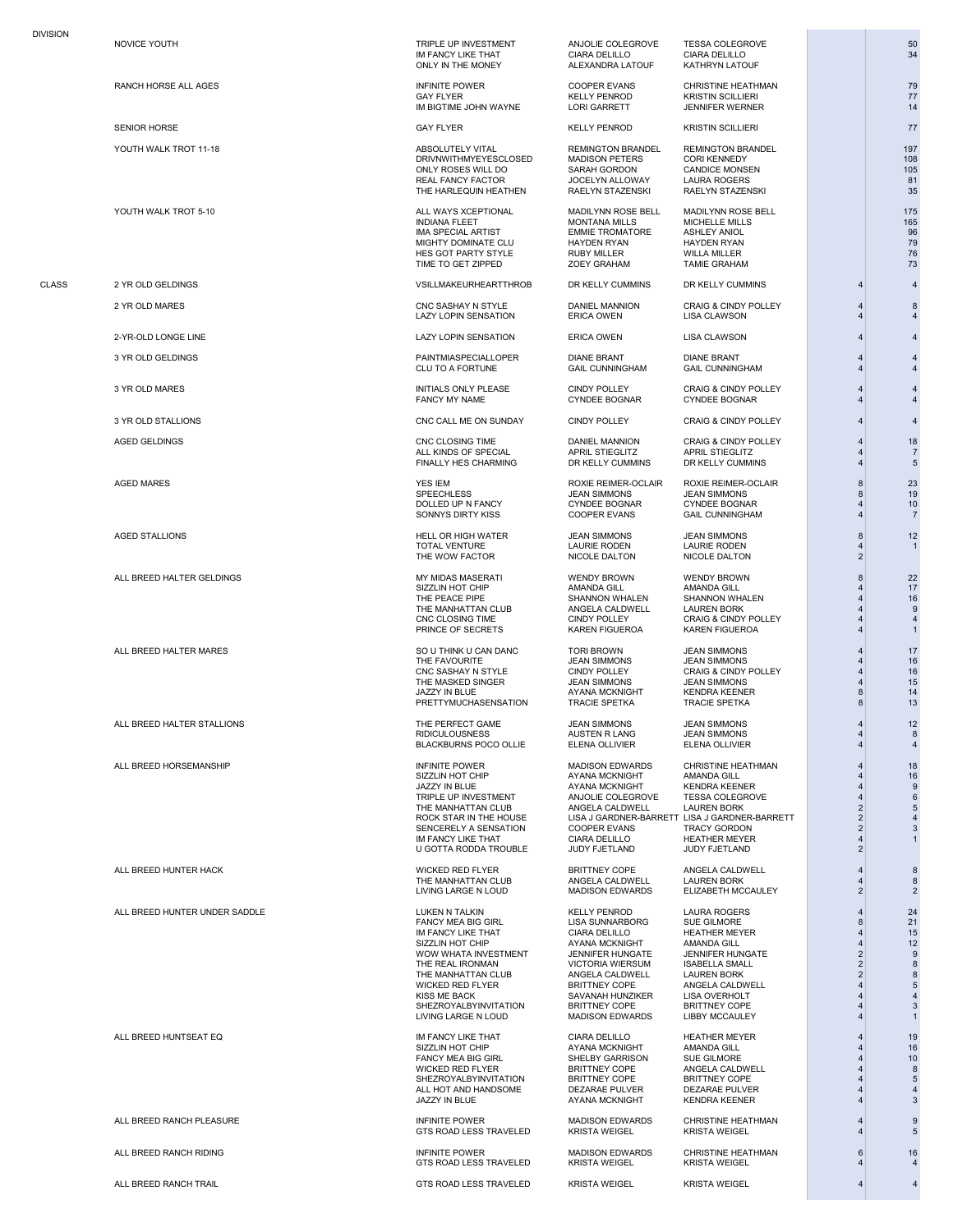SENIOR HORSE GAY FLYER KELLY PENROD KRISTIN SCILLIERI TANGGAY KELLY PENROD KRISTIN SCILLIERI TANGGAY KRISTIN SCILLIERI TANGGAY KELLY PENROD KRISTIN SCILLIERI TANGGAY KRISTIN SCILLIERI TANGGAY KELLY PENROD KRISTIN SCILLIERI

ALL BREED HALTER GELDINGS MY MIDAS MASERATI WENDY BROWN WENDY BROWN 22

ALL BREED HORSEMANSHIP INFINITE POWER MADISON EDWARDS CHRISTINE HEATHMAN 4 18

IM FANCY LIKE THAT CIARA DELILLO CIARA DELILLO 34

YOUTH WALK TROT 11-18 ABSOLUTELY VITAL REMINGTON BRANDEL REMINGTON BRANDEL 197 DRIVINWITHMYEYESCLOSED MADISON PETERS CORI KENNEDY 108<br>DRIVINWITHMYEYESCLOSED MADISON PETERS CORI KENNEDY 108<br>ONLY ROSES WILL DO SARAH GORDON CANDICE MONSEN 105 ONLY ROSES WILL DO THE MORDON CANDICE MONSEN<br>
ONLY ROSES WILL DO SARAH GORDON CANDICE MONSEN 105<br>
REAL FANCY FACTOR JOCELYN ALLOWAY LAURA ROGERS 81 REAL FANCY FACTOR JOCELYN ALLOWAY LAURA ROGERS 81 THE HARLEQUIN HEATHEN RAELYN STAZENSKI RAELYN STAZENSKI 35

YOUTH WALK TROT 5-10 ALL WAYS XCEPTIONAL MADILYNN ROSE BELL MADILYNN ROSE BELL IN ALL MADILYNN ROSE BELL IN A INDIANA FLEET 1999 MONTANA MILLS MICHELLE MILLS 1999 MONTANA MILLS MICHELLE MILLS 1999 MONTANA MILLS AND MONTANA MILLS AND MONTANA MILLS AND MONTANA MILLS AND MONTANA MILLS AND MONTANA MILLS AND MONTANA MILLS AND MONTANA A IMA SPECIAL ARTIST EMMIE TROMATORE ASHLEY ANIOL 96 MIGHTY DOMINATE CLU HAYDEN RYAN HAYDEN RYAN 79 HES GOT PARTY STYLE RUBY MILLER WILLA MILLER 76 TIME TO GET ZIPPED

CLASS 2 YR OLD GELDINGS VSILLMAKEURHEARTTHROB DR KELLY CUMMINS 4 4 4

2 YR OLD MARES CNC SASHAY N STYLE DANIEL MANNION CRAIG & CINDY POLLEY 4 8 LAZY LOPIN SENSATION ERICA OWEN LISA CLAWSON 4 4

2-YR-OLD LONGE LINE LAZY LOPIN SENSATION ERICA OWEN LISA CLAWSON 4 4

3 YR OLD GELDINGS PAINTMIASPECIALLOPER DIANE BRANT DIANE BRANT 4 4 CLU TO A FORTUNE

3 YR OLD STALLIONS CNC CALL ME ON SUNDAY CINDY POLLEY CRAIG & CINDY POLLEY 4 4

AGED GELDINGS CNC CLOSING TIME DANIEL MANNION CRAIG & CINDY POLLEY | 18 ALL KINDS OF SPECIAL APRIL STIEGLITZ APRIL STIEGLITZ APRIL ATTEGLITZ 4 7<br>FINALLY HES CHARMING DR KELLY CUMMINS DR KELLY CUMMINS 4 5 FINALLY HES CHARMING

AGED STALLIONS HELL OR HIGH WATER JEAN SIMMONS JEAN SIMMONS 12 TOTAL VENTURE **TOTAL VENTURE LAURIE RODEN** LAURIE RODEN LAURIE RODEN 4 1<br>THE WOW FACTOR NICOLE DALTON NICOLE DALTON 2 THE WOW FACTOR

> SIZZLIN HOT CHIP AMANDA GILL AMANDA GILL 4 17 THE PEACE PIPE SHANNON WHALEN SHANNON WHALEN 4 16 THE MANHATTAN CLUB ANGELA CALDWELL LAUREN BORK 4 9<br>CNC CLOSING TIME CONDY POLLEY CRAIG & CINDY POLLEY 4 4 4<br>PRINCE OF SECRETS KAREN FIGUEROA KAREN FIGUEROA 4 4 4 CNC CLOSING TIME CINDY POLLEY CRAIG & CINDY POLLEY<br>
> CINDY POLLEY CRAIG & CINDY POLLEY 4<br>
> PRINCE OF SECRETS KAREN FIGUEROA KAREN FIGUEROA 4

ALL BREED HALTER MARES SO U THINK U CAN DANC TORI BROWN JEAN SIMMONS 4 17 THE FAVOURITE JEAN SIMMONS JEAN SIMMONS 4 16 THE MASKED SINGER JEAN SIMMONS JEAN SIMMONS 4 15 JAZZY IN BLUE AYANA MCKNIGHT KENDRA KEENER 8 14 PRETTYMUCHASENSATION TRACIE SPETKA TRACIE SPETKA 8

ALL BREED HALTER STALLIONS THE PERFECT GAME JEAN SIMMONS JEAN SIMMONS 4 12 RIDICULOUSNESS AUSTEN R LANG JEAN SIMMONS 4 8 BLACKBURNS POCO OLLIE

> SIZZLIN HOT CHIP AYANA MCKNIGHT AMANDA GILL 4 16 JAZZY IN BLUE AYANA MCKNIGHT KENDRA KEENER 4 9 TRIPLE UP INVESTMENT ANJOLIE COLEGROVE TESSA COLEGROVE 4 6 THE MANHATTAN CLUB ANGELA CALDWELL LAUREN BORK 2 5 ROCK STAR IN THE HOUSE LISA J GARDNER-BARRETT LISA J GARDNER-BARRETT 2 4 SENCERELY A SENSATION COOPER EVANS TRACY GORDON  $\begin{array}{ccc} 2 & 3 & 3 \\ \text{IM FANCY LIKE} & 3 & 3 \end{array}$ IM FANCY LIKE THAT CIARA DELILLO HEATHER MEYER<br>IN FANCY LIKE THAT CIARA DELILLO HEATHER MEYER<br>IN GOTTA RODDA TROUBLE JUDY FJETLAND JUDY FJETLAND 2 U GOTTA RODDA TROUBLE

ALL BREED HUNTER HACK AND RESOLUTION ON A MICKED RED FLYER BRITTINEY COPE ANGELA CALDWELL AND ANGELA AND ANGELA CALDWELL AND ANGELA CALDWELL AND RESOLUTION AND RESOLUTION AND RESOLUTION AND RESOLUTION AND RESOLUTION AND RE THE MANHATTAN CLUB ANGELA CALDWELL LAUREN BORK 4 8

ALL BREED HUNTER UNDER SADDLE A A CHARA AND HUKEN N TALKIN AND HUKEN N TALKIN A CHARA ROGERS A LAURA ROGERS A CH<br>21 EAN TANGY MEA BIG GIRL LISA SUNNARBORG SUE GILMORE 8 21<br>15 IM FANCY LIKE THAT CIARA DELILLO HEATHER MEYER FANCY MEA BIG GIRL LISA SUNNARBORG SUE GILMORE 8 21 IM FANCY LIKE THAT CIARA DELILLO HEATHER MEYER<br>SIZZLIN HOT CHIP AYANA MCKNIGHT AMANDA GILL 4 12<br>WOW WHATA INVESTMENT JENNIFER HUNGATE JENNIFER HUNGATE 2 9 WOW WHATA INVESTMENT JENNIFER HUNGATE JENNIFER HUNGATE 2 9<br>THE REAL IRONMAN VICTORIA WIERSUM ISABELLA SMALL 2 3 THE MANHATTAN CLUB ANGELA CALDWELL LAUREN BORK 2 8 WICKED RED FLYER BRITTNEY COPE ANGELA CALDWELL 4 5 SHEZROYALBYINVITATION BRITTNEY COPE BRITTNEY COPE 4 3<br>
LIVING LARGE N LOUD MADISON EDWARDS LIBBY MCCAULEY 4 4 3 LIVING LARGE N LOUD

ALL BREED HUNTSEAT EQ IM FANCY LIKE THAT CIARA DELILLO HEATHER MEYER | 19 SIZZLIN HOT CHIP AYANA MCKNIGHT AMANDA GILL 4 16 FANCY MEA BIG GIRL SHELBY GARRISON SUE GILMORE 4 10 SHEZROYALBYINVITATION BRITTNEY COPE BRITTNEY COPE 4 5<br>ALL HOT AND HANDSOME DEZARAE PULVER DEZARAE PULVER 4 4 4 ALL HOT AND HANDSOME DEZARAE PULVER DEZARAE PULVER 4 4

ALL BREED RANCH PLEASURE INFINITE POWER MADISON EDWARDS CHRISTINE HEATHMAN 4 9 GTS ROAD LESS TRAVELED

ALL BREED RANCH RIDING INFINITE POWER MADISON EDWARDS CHRISTINE HEATHMAN 6 16 GTS ROAD LESS TRAVELED KRISTA WEIGEL KRISTA WEIGEL 4 4

ALL BREED RANCH TRAIL GTS ROAD LESS TRAVELED KRISTA WEIGEL KRISTA WEIGEL 4 4

NOVICE YOUTH TRIPLE UP INVESTMENT ANJOLIE COLEGROVE TESSA COLEGROVE NEWSLET AND SOLEGROVE SALE OF INVESTMENT AND ANGLICION CIARA DELILLO CARRA DELILLO CARRA DELILLO ALEXANDRA LATOUF

3 YR OLD MARES AND THE ASSESSED A CINDY POLLEY A A CHORE CONDERN AND THE ASSESSED A CONDERNATION OF A CYNDERN A<br>SANCY MY NAME CYNDEE BOGNAR CYNDEE BOGNAR CYNDEE BOGNAR CYNDEE BOGNAR A 4

AGED MARES YES IEM ROXIE REIMER-OCLAIR ROXIE REIMER-OCLAIR | 8 23 SPEECHLESS JEAN SIMMONS JEAN SIMMONS 8 19 DOLLED UP N FANCY CYNDEE BOGNAR CYNDEE BOGNAR 4 10 SONNYS DIRTY KISS COOPER EVANS GAIL CUNNINGHAM 4 7

KAREN FIGUEROA

AYANA MCKNIGHT

RANCH HORSE ALL AGES INFINITE POWER COOPER EVANS CHRISTINE HEATHMAN 79 GAY FLYER KELLY PENROD KRISTIN SCILLIERI 77 IM BIGTIME JOHN WAYNE LORI GARRETT JENNIFER WERNER

CYNDEE BOGNAR

CINDY POLLEY CRAIG & CINDY POLLEY 4<br>JEAN SIMMONS JEAN SIMMONS 4

ELIZABETH MCCAULEY

SIZZLIN HOT CHIP AYANA MCKNIGHT AMANDA GILL 4 12 THE REAL IRONAL ISABELLA SMALL CONTRACT AND REAL VIOLATION OF SALE ISLAMIC CONTRACT OF SALE ISLAMIC CONTRACT O<br>The REAL ISLAMIC CONTRACT CONTRACT OF SALE ISLAMIC CONTRACT OF SALE ISLAMIC CONTRACT OF SALE ISLAMIC CONTRACT <br> KISS ME BACK SAVANAH HUNZIKER LISA OVERHOLT 4 4

RITTNEY COPE ANGELA CALDWELL 4 8<br>
BRITTNEY COPE BRITTNEY COPE 4 5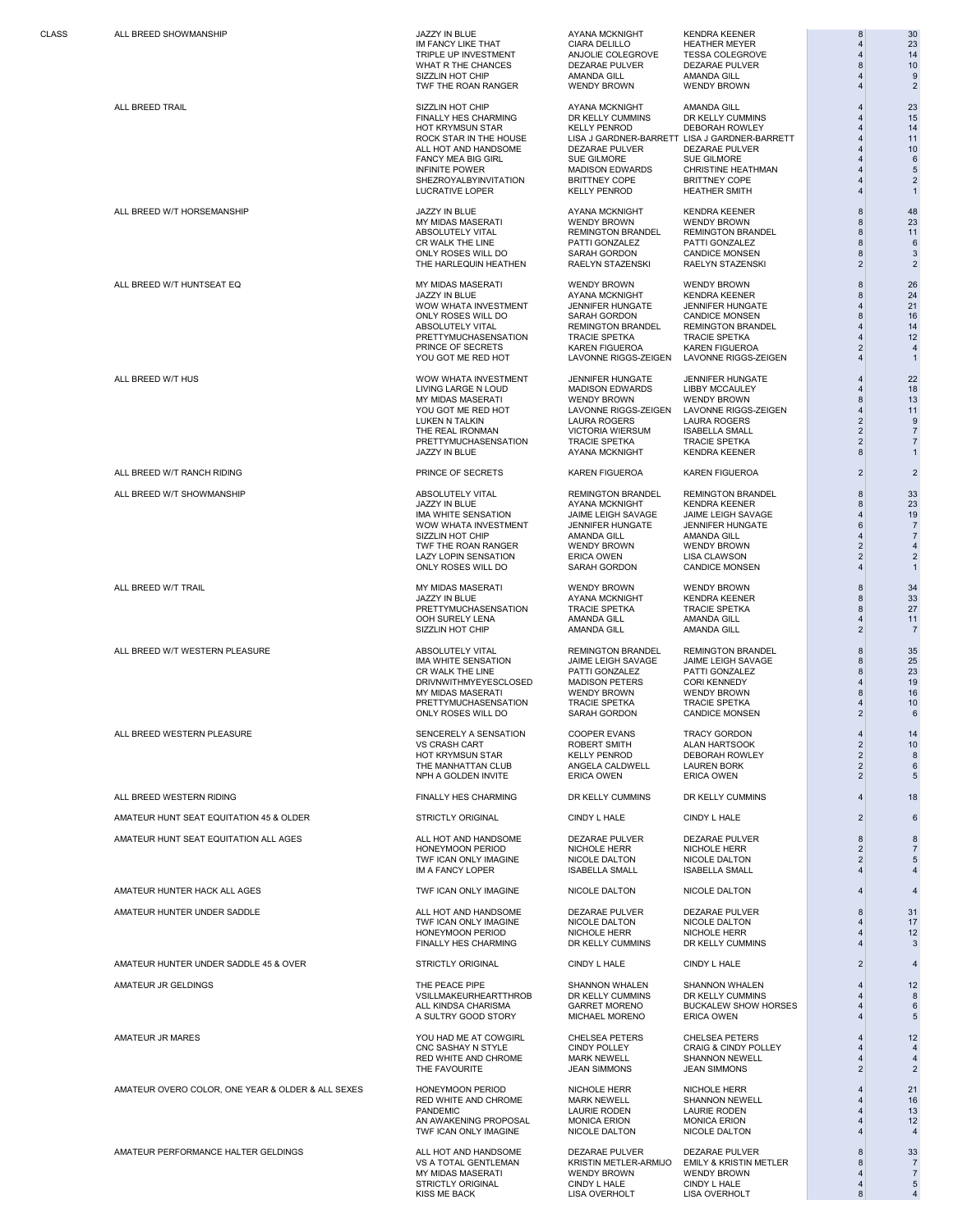ALL BREED W/T RANCH RIDING PRINCE OF SECRETS KAREN FIGUEROA KAREN FIGUEROA 2 2

ALL BREED WESTERN RIDING GOVERNMENT HES CHARMING DR KELLY CUMMINS DR KELLY CUMMINS AND A 4 18 AMATEUR HUNT SEAT EQUITATION 45 & OLDER STRICTLY ORIGINAL STRICTLY ORIGINAL STRICTLY ORIGINAL CINDY L HALE CINDY L HALE 2 6 AMATEUR HUNT SEAT EQUITATION ALL AGES<br>
HONEY MONEY AND HONEY AND AND HONEY AND AND HONEY AND HERRE AND HONEY HERRE AND RESERVED AND AND AND AND AND T

AMATEUR HUNTER HACK ALL AGES TWF ICAN ONLY IMAGINE NICOLE DALTON NICOLE DALTON 4 4

AMATEUR HUNTER UNDER SADDLE 45 & OVER SADDLE 45 & OVER SALE STRICTLY ORIGINAL STRICTLY ORIGINAL CINDY L HALE CINDY L HALE 2 4 AMATEUR JR GELDINGS THE PEACE PIPE SHANNON WHALEN SHANNON WHALEN 4 12

AMATEUR OVERO COLOR, ONE YEAR & OLDER & ALL SEXES HONEYMOON PERIOD NICHOLE HERR NICHOLE HERR NICHOLE HERR 4 21<br>16 4 16

CLASS ALL BREED SHOWMANSHIP JAZZY IN BLUE AYANA MCKNIGHT KENDRA KEENER 8 30 IM FANCY LIKE THAT CIARA DELILLO HEATHER MEYER 4 23 TRIPLE UP INVESTMENT ANJOLIE COLEGROVE TESSA COLEGROVE 4 14 WHAT R THE CHANCES DEZARAE PULVER DEZARAE PULVER B<br>
SIZZLIN HOT CHIP AMANDA GILL AMANDA GILL 4 9<br>
10 TWF THE ROAN RANGER WENDY BROWN WENDY BROWN 4 2 SIZZLIN HOT CHIP AMANDA GILL AMANDA GILL 4 9 TWF THE ROAN RANGER WENDY BROWN WENDY BROWN WENDY BROWN

ALL BREED TRAIL SIZZLIN HOT CHIP AYANA MCKNIGHT AMANDA GILL 4 23 FINALLY HES CHARMING DR KELLY CUMMINS DR KELLY CUMMINS 4 15

ALL BREED W/T HORSEMANSHIP JAZZY IN BLUE AYANA MCKNIGHT KENDRA KEENER 8 48 MY MIDAS MASERATI WENDY BROWN WENDY BROWN WENDY BROWN ABSOLUTELY VITAL REMINGTON BRANDEL REMINGTON BRANDEL AS A 23<br>ABSOLUTELY VITAL REMINGTON BRANDEL REMINGTON BRANDEL 8 11<br>CR WALK THE LINE PATTI GONZALEZ PATTI GONZALEZ 8 ABSOLUTELY VITAL REMINGTON BRANDEL REMINGTON BRANDEL 8 11 CR WALK THE LINE PATTI GONZALEZ PATTI GONZALEZ 8 6 ONLY ROSES WILL DO SARAH GORDON CANDICE MONSEN [30] 3 THE HARLEQUIN HEATHEN BRAELYN STAZENSKI RAELYN STAZENSKI

ALL BREED W/T HUNTSEAT EQ MY MIDAS MASERATI WENDY BROWN WENDY BROWN 26 JAZZY IN BLUE AYANA MCKNIGHT KENDRA KEENER 8 24 WOW WHATA INVESTMENT JENNIFER HUNGATE JENNIFER HUNGATE 4 21<br>16 ONLY ROSES WILL DO SARAH GORDON CANDICE MONSEN 8 ONLY ROSES WILL DO SARAH GORDON CANDICE MONSEN 8 16<br>
ONLY ROSES WILL DO SARAH GORDON CANDICE MONSEN 8 16<br>
ABSOLUTELY VITAL REMINGTON BRANDEL REMINGTON BRANDEL 4 14 ABSOLUTELY VITAL REMINGTON BRANDEL REMINGTON BRANDEL 4 14 PRETTYMUCHASENSATION TRACIE SPETKA TRACIE SPETKA TRACIE SPETKA 12<br>
PRINCE OF SECRETS TRACIE SPETKA TRACIE SPETKA 12<br>
12<br>
PRINCE OF SECRETS LAVONNE RIGGS-ZEIGEN LAVONNE RIGGS-ZEIGEN 1 PRINCE OF SECRETS KAREN FIGUEROA KAREN FIGUEROA 2 4 YOU GOT ME RED HOT LAVONNE RIGGS-ZEIGEN LAVONNE RIGGS-ZEIGEN 1

ALL BREED W/IHUS WOW WHATA INVESTMENT JENNIFER HUNGATE JENNIFER HUNGATE | 4| 22 LIVING LARGE N LOUD MADISON EDWARDS LIBBY MCCAULEY 4 18 MY MIDAS MASERATI WENDY BROWN WENDY BROWN 8 13 YOU GOT ME RED HOT LAVONNE RIGGS-ZEIGEN LAVONNE RIGGS-ZEIGEN 4 11 LUKEN N TALKIN LAURA ROGERS LAURA ROGERS 2 9 THE REAL IRONMAN VICTORIA WIERSUM ISABELLA SMALL 2 7 PRETTYMUCHASENSATION TRACIE SPETKA TRACIE SPETKA 2 7

ALL BREED W/T SHOWMANSHIP ABSOLUTELY VITAL REMINGTON BRANDEL REMINGTON BRANDEL 8 33 JAZZY IN BLUE AYANA MCKNIGHT KENDRA KEENER 8 23 IMA WHITE SENSATION ANNI MAME LEIGH SAVAGE JAIME LEIGH SAVAGE JAIME LEIGH SAVAGE VON WHATA INVESTIMENT JENNIFER HUNGATE 4 19<br>
IN WHITE SENSATION AMAINO SILL AND AMAINO SILL AND AMAINO SILL AND THE ROAN RANGER WENDY BROWN W WOW WHATA INVESTMENT JENNIFER HUNGATE JENNIFER HUNGATE SEXUAL AREA OF THE GROW WHATA INVESTMENT AND A THE SEXUAL AREA OF THE SEXUAL AREA OF THE SEXUAL AREA OF THE SEXUAL AREA OF THE SEXUAL AREA OF THE SEXUAL AREA OF THE SE SIZZLIN HOT CHIP AMANDA GILL AMANDA GILL 4 7 TWF THE ROAN RANGER WENDY BROWN WENDY BROWN 2 4<br>LAZY LOPIN SENSATION ERICA OWEN LISA CLAWSON 2 2 2<br>ONLY ROSES WILL DO SARAH GORDON CANDICE MONSEN 4 1 LAZY LOPIN SENSATION ERICA OWEN LISA CLAWSON 2<br>ONLY ROSES WILL DO SARAH GORDON CANDICE MONSEN 4 ONLY ROSES WILL DO

ALL BREED W/T TRAIL MY MIDAS MASERATI WENDY BROWN WENDY BROWN 34 JAZZY IN BLUE AYANA MCKNIGHT KENDRA KEENER 8 33 PRETTYMUCHASENSATION TRACIE SPETKA TRACIE SPETKA OD 1999 127<br>
PRETTYMUCHASENSATION TRACIE SPETKA TRACIE SPETKA 27<br>
27 11 OOH SURELY LENA AMANDA GILL AMANDA GILL 4 11 SIZZLIN HOT CHIP AMANDA GILL AMANDA GILL 2 7

ALL BREED W/T WESTERN PLEASURE CONTROLL ABSOLUTELY VITAL ABSOLUTELY VITAL REMINGTON BRANDEL REMINGTON BRANDEL<br>IMA WHITE SENSATION JAME LEIGH SAVAGE JAIME LEIGH SAVAGE JAME LEIGH SAVAGE IMA WHITE SENSATION JAIME LEIGH SAVAGE JAIME LEIGH SAVAGE 8 25 CR WALK THE LINE PATTI GONZALEZ PATTI GONZALEZ 8 23 DRIVNWITHMYEYESCLOSED MADISON PETERS CORI KENNEDY<br>
MY MIDAS MASERATI WENDY BROWN WENDY BROWN 8 16<br>
PRETTYMUCHASENSATION TRACIE SPETKA TRACIE SPETKA 4 10 MY MIDAS MASERATI WENDY BROWN WENDY BROWN 8 16 PRETTYMUCHASENSATION TRACIE SPETKA TRACIE SPETKA 4 10 ONLY ROSES WILL DO

ALL BREED WESTERN PLEASURE SENCERELY A SENSATION COOPER EVANS TRACY GORDON 4 14 HOT KRYMSUN STAR KELLY PENROD DEBORAH ROWLEY 2 8 THE MANHATTAN CLUB ANGELA CALDWELL LAUREN BORK 2 6 NPH A GOLDEN INVITE

HONEYMOON PERIOD NICHOLE HERR NICHOLE HERR 2 7<br>TWE ICAN ONLY IMAGINE NICOLE DALTON NICOLE DALTON 2 5 TO THE CAN ONLY IMAGINE NICOLE DALTON NICOLE DALTON NICOLE DALTON 2<br>TWE ICAN ONLY IMAGINE NICOLE DALTON NICOLE DALTON 3<br>IMA FANCY LOPER ISABELLA SMALL ISABELLA SMALL 4 4 IM A FANCY LOPER

AMATEUR HUNTER UNDER SADDLE ALL HOT AND HANDSOME DEZARAE PULVER DEZARAE PULVER AND HANDSOME DEZARAE PULVER DE<br>17 TWF ICAN ONLY IMAGINE NICOLE DALTON NICOLE DE DE ALTON A 17<br>12 12 TWF ICAN ONLY IMAGINE NICOLE DALTON NICOLE DALTON 4 17 HONEYMOON PERIOD NICHOLE HERR NICHOLE HERR NICHOLE HERR 4 12<br>
FINALLY HES CHARMING DR KELLY CUMMINS DR KELLY CUMMINS 4 3 FINALLY HES CHARMING

VSILLMAKEURHEARTTHROB DR KELLY CUMMIN<br>ALL KINDSA CHARISMA GARRET MORENO A SULTRY GOOD STORY

AMATEUR JR MARES AND RESON TO MAD ME AT COWGIRL CHELSEA PETERS CHELSEA PETERS AND MARES AND MARES AND MARES AND MA<br>CONSTANT CHELSEA PERIOD CONSERVERS CHELSEA PETERS CHELSEA PETERS AND MARE AND MARING AND MARES RED WHITE AND CHROME MARK NEWELL SHANNON NEWELL 4<br>THE FAVOURITE THE MARK SIMMONS JEAN SIMMONS 2 THE FAVOURITE **STATE** JEAN SIMMONS

> RED WHITE AND CHROME MARK NEWELL SHANNON NEWELL 4 16<br>PANDEMIC 4 13 PANDEMIC LAURIE RODEN LAURIE RODEN 4 13 AN AWAKENING PROPOSAL MONICA ERION MONICA ERION AN AWAKENING PROPOSAL MONICA ERION MONICA ERION 4 12<br>
> 12 12 TWF ICAN ONLY IMAGINE

> VS A TOTAL GENTLEMAN KRISTIN METLER-ARMIJO EMILY & KRISTIN METLER 8 7<br>MY MIDAS MASERATI WENDY BROWN WENDY BROWN 4 MY MIDAS MASERATI WENDY BROWN WENDY BROWN 4 7 STRICTLY ORIGINAL CINDY LHALE CINDY LHALE CINDY LHALE 4 5<br>
> STRICTLY ORIGINAL CINDY LHALE CINDY LHALE CINDY LHALE 4 5<br>
> 4 4 4 KISS ME BACK LISA OVERHOLT LISA OVERHOLT 4

AMATEUR PERFORMANCE HALTER GELDINGS ALL HOT AND HANDSOME DEZARAE PULVER DEZARAE PULVER 8 33

HOT KRYMSUN STAR KELLY PENROD DEBORAH ROWLEY 4 14 ROCK STAR IN THE HOUSE LISA J GARDNER-BARRETT LISA J GARDNER-BARRETT 4 11 ALL HOT AND HANDSOME DEZARAE PULVER DEZARAE PULVER 4 10 FANCY MEA BIG GIRL SUE GILMORE SUE GILMORE 4 6 INFINITE POWER MADISON EDWARDS CHRISTINE HEATHMAN 4 5 NET AN AN ANTITATION BRITTNEY COPE BRITTNEY COPE BRITTNEY COPE 4<br>SHEZROYALBYINVITATION BRITTNEY COPE BRITTNEY COPE 4 2<br>LUCRATIVE LOPER 4 1 LUCRATIVE LOPER KELLY PENROD HEATHER SMITH 4 1

KENDRA KEENER

ROBERT SMITH ALAN HARTSOOK 2 10<br>
VELLY PENROD DEBORAH ROWLEY 2 8

ALL KINDSA CHARISMA GARRET MORENO BUCKALEW SHOW HORSES 4 6

CNOT POLLEY CRAIG & CINDY POLLEY 4<br>MARK NEWELL SHANNON NEWELL 4 4 4<br>JEAN SIMMONS JEAN SIMMONS 2 2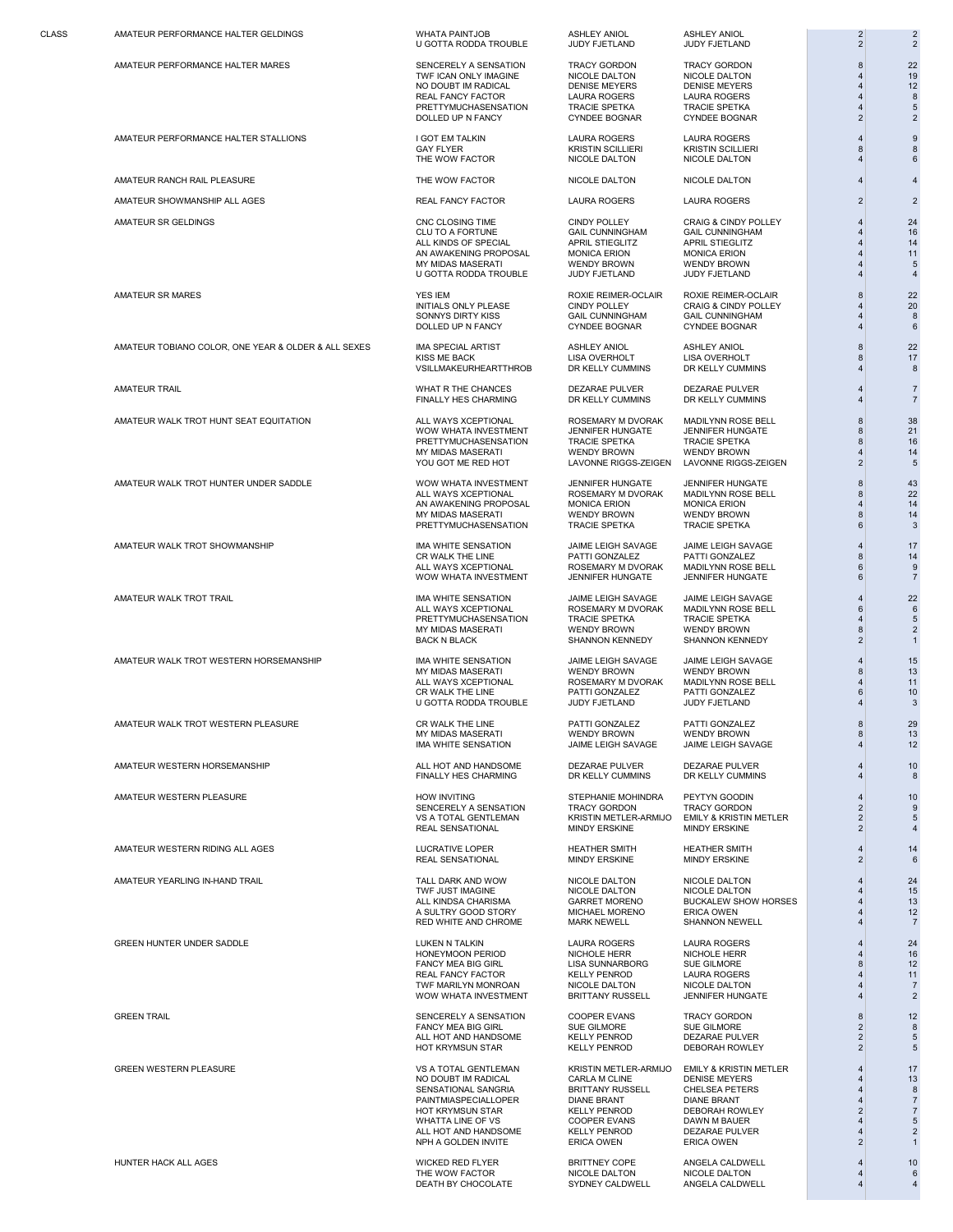AMATEUR PERFORMANCE HALTER STALLIONS I GOT EM TALKIN LAURA ROGERS LAURA ROGERS 4 9

AMATEUR RANCH RAIL PLEASURE THE WOW FACTOR NICOLE DALTON NICOLE DALTON 4 4

AMATEUR SHOWMANSHIP ALL AGES **REAL FANCY FACTOR** LAURA ROGERS LAURA ROGERS 2 2 2

AMATEUR TOBIANO COLOR, ONE YEAR & OLDER & ALL SEXES IMA SPECIAL ARTIST ASHLEY ANIOL ASHLEY ANIOL ASHLEY ANIOL ASHLEY ANIOL ASHLEY ANIOL ASHLEY ANIOL ASHLEY ANIOL ASHLEY ANIOL ASHLEY ANIOL ASHLEY ANIOL ASHLEY ANIOL ASHLEY A

AMATEUR WALK TROT HUNT SEAT EQUITATION ALL WAYS XCEPTIONAL ROSEMARY M DVORAK MADILYNN ROSE BELL 8 38

AMATEUR WALK TROT HUNTER UNDER SADDLE WOW WHATA INVESTMENT JENNIFER HUNGATE JENNIFER HUNGATE SAND LETTER AS AS<br>ALL WAYS XCEPTIONAL ROSEMARY MIDVORAK MADILYNN ROSE BELL 8 22

AMATEUR WALK TROT WESTERN HORSEMANSHIP IMA WHITE SENSATION JAIME LEIGH SAVAGE JAIME LEIGH SAVAGE 4 15

AMATEUR WESTERN RIDING ALL AGES AND AN AREAL SENSATIONAL HEATHER SMITH HEATHER SMITH AND HEATHER SMITH AND MINDY ERSKINE AND MINDY ERSKINE AND MINDY ERSKINE AND A CHARACTERY AND A CHARACTERY AND A CHARACTERY AND A CHARACTE

GREEN HUNTER UNDER SADDLE LUKEN N TALKIN LAURA ROGERS LAURA ROGERS 4 24

U GOTTA RODDA TROUBLE

AMATEUR PERFORMANCE HALTER MARES CONSTRUCTED A SENCERELY A SENSATION TRACY GORDON TRACY GORDON SENSATION A 22<br>TWF ICAN ONLY IMAGINE NICOLE DALTON NICOLE DALTON NICOLE DALTON NICOLE DALTON 4 19 TWF ICAN ONLY IMAGINE NICOLE DALTON NICOLE DALTON NICOLE DALTON 4 19<br>NO DOUBT IM RADICAL DENISE MEYERS DENISE MEYERS 4 12 NO DOUBT IM RADICAL THE MEYERS DENISE MEYERS DENISE MEYERS A 12<br>
NO DOUBT IM RADICAL DENISE MEYERS DENISE MEYERS 4 12<br>
PRETTYMUCHASENSATION TRACIE SPETKA TRACIE SPETKA 4 5 REAL FANCY FACTOR LAURA ROGERS LAURA ROGERS 4 8 PRETTYMUCHASENSATION TRACIE SPETKA TRACIE SPETKA 4 5<br>DOLLED UP N FANCY CYNDEE BOGNAR CYNDEE BOGNAR 2 2 DOLLED UP N FANCY **CYNDEE BOGNAR CYNDEE BOGNAR** 2 2 2

AMATEUR SR GELDINGS CNC CLOSING TIME CINDY POLLEY CRAIG & CINDY POLLEY 4 24 CLU TO A FORTUNE GAIL CUNNINGHAM GAIL CUNNINGHAM 4 16 ALL KINDS OF SPECIAL OF THE OUTLIES THE OUTLIES APRIL STIEGLITZ<br>AN AWAKENING PROPOSAL MONICA ERION MONICA ERION 4 11 AN AWAKENING PROPOSAL MONICA ERION MONICA ERION 4 11 MY MIDAS MASERATI WENDY BROWN WENDY BROWN WENDY BROWN 4<br>
U GOTTA RODDA TROUBLE JUDY FJETLAND JUDY FJETLAND 4 U GOTTA RODDA TROUBLE

AMATEUR SR MARES CONTROLLER MARES AND THE SAME OF THE SAME REIMER-OCLAIR ROXIE REIMER-OCLAIR ROXIE REIMER-OCLAIR<br>INITIALS ONLY PLEASE CINDY POLLEY CRAIG & CINDY POLLEY 4 20 SONNYS DIRTY KISS GAIL CUNNINGHAM GAIL CUNNINGHAM GAIL CUNNINGHAM 4 5<br>DOLLED UP N FANCY CYNDEE BOGNAR CYNDEE BOGNAR 4 6

VSILLMAKEURHEARTTHROB

AMATEUR TRAIL CHANCES DEZARAE PULVER DEZARAE PULVER DEZARAE PULVER A<br>FINALLY HES CHARMING DR KELLY CUMMINS DR KELLY CUMMINS DR KELLY CUMMINS 4 7 FINALLY HES CHARMING

> WOW WHATA INVESTMENT JENNIFER HUNGATE JENNIFER HUNGATE 8 21 PRETTYMUCHASENSATION TRACIE SPETKA TRACIE SPETKA 8 16 MY MIDAS MASERATI WENDY BROWN WENDY BROWN 4 14

> ALL WAYS XCEPTIONAL CONSERVATION CONSERVERS MADILYNN ROSE BELL A CONSERVERS AND RESERVE AND MONEMARY MUSIC MADILYNN ROSE BELL A CONSERVERS AND MONEMARY MUSIC MADILYNN ROSE BELL A CHARGE AND MONEMARY MUSIC MADILYNN ROSE BEL AN AWAKENING PROPOSAL MONICA ERION MONICA ERION 4 14 MY MIDAS MASERATI WENDY BROWN WENDY BROWN WENDY BROWN 8 14<br>
> PRETTYMUCHASENSATION TRACIE SPETKA TRACIE SPETKA 6 3 PRETTYMUCHASENSATION

AMATEUR WALK TROT SHOWMANSHIP IMA WHITE SENSATION JAIME LEIGH SAVAGE JAIME LEIGH SAVAGE 4 17 CR WALK THE LINE PATTI GONZALEZ PATTI GONZALEZ 8 14 WOW WHATA INVESTMENT

AMATEUR WALK TROT TRAIL IMA WHITE SENSATION JAIME LEIGH SAVAGE 22 ALL WAYS XCEPTIONAL ROSEMARY M DVORAK MADILYNN ROSE BELL 6 6 PRETTYMUCHASENSATION TRACIE SPETKA TRACIE SPETKA TRACIE SPETKA A 5<br>
MY MIDAS MASERATI WENDY BROWN WENDY BROWN A 5 MY MIDAS MASERATI WENDY BROWN WENDY BROWN 8 2

> MY MIDAS MASERATI WENDY BROWN WENDY BROWN 8 13 ALL WAYS AVEN THE ROSEMARY MUNICIPAL MADILYNN ROSE BELL 4 11<br>
> CR WALK THE LINE PATTI GONZALEZ PATTI GONZALEZ 6 10 CR WALK THE LINE PATTI GONZALEZ PATTI GONZALEZ 6 10 U GOTTA RODDA TROUBLE JUDY FJETLAND JUDY FJETLAND 4 3

IMA WHITE SENSATION

AMATEUR WESTERN HORSEMANSHIP ALL HOT AND HANDSOME DEZARAE PULVER DEZARAE PULVER 4 10 FINALLY HES CHARMING DR KELLY CUMMINS DR KELLY CUMMINS 4 8

AMATEUR WESTERN PLEASURE HOW INVITING STEPHANIE MOHINDRA PEYTYN GOODIN 4 10 REAL SENSATIONAL MINDY ERSKINE MINDY ERSKINE 2 4

REAL SENSATIONAL

AMATEUR YEARLING IN-HAND TRAIL NAMATEUR YEARLING IN-HAND TRAIL DARK AND WOW NICOLE DALTON NICOLE DALTON A SAND TRAIL THE MAGINE ONLY ONLY A THE MAGINE ONLY A THE MAGINE ONLY A THE MAGINE ONLY A THE MAGINE ONLY A THE MAGINE A SULTRY GOOD STORY MICHAEL MORENO ERICA OWEN 4 12<br>RED WHITE AND CHROME MARK NEWELL SHANNON NEWELL 4 7 RED WHITE AND CHROME

> HONEYMOON PERIOD NICHOLE HERR NICHOLE HERR 4 16 FANCY MEA BIG GIRL LISA SUNNARBORG SUE GILMORE 8 12 REAL FANCY FACTOR KELLY PENROD LAURA ROGERS 4 11 TWF MARILYN MONROAN NICOLE DALTON NICOLE DALTON 4 7 WOW WHATA INVESTMENT

GREEN TRAIL GENERAL SENGERELY A SENGERELY A SENSATION COOPER EVANS TRACY GORDON AND SENGERELY A SENSATION COOPER EVANS FANCY MEA BIG GIRL SUE GILMORE SUE GILMORE 2 8 ALL HOT AND HANDSOME KELLY PENROD DEZARAE PULVER 2 5 HOT KRYMSUN STAR

> HOT KRYMSUN STAR KELLY PENROD DEBORAH ROWLEY 2 7 WHATTA LINE OF VS COOPER EVANS DAWN M BAUER<br>
> ALL HOT AND HANDSOME WELLY PENROD DEZARAE PULVER 4 2<br>
> 2 1 ALL HOT AND HANDSOME KELLY PENROD DEZARAE PULVER 4 2 NPH A GOLDEN INVITE

HUNTER HACK ALL AGES WICKED RED FLYER BRITTNEY COPE ANGELA CALDWELL | 10 THE WOW FACTOR **NICOLE DALTON** NICOLE DALTON NICOLE DALTON DEATH BY CHOCOLATE SYDNEY CALDWELL ANGELA CALDWELL 4 4

DOLLED UP N FANCY CYNDEE BOGNAR CYNDEE BOGNAR 4 6

SHANNON KENNEDY

SENCERELY A SENSATION TRACY GORDON TRACY GORDON SENCERELY A SENSATION TRACY GORDON TRACY GORDON SENSATION OF S<br>VS A TOTAL GENTLEMAN KRISTIN METLER-ARMIJO EMILY & KRISTIN METLER I SENSATION OF SENSATION OF SENSATION OF SE

GAY FLYER KRISTIN SCILLIERI KRISTIN SCILLIERI 8 8 THE WOW FACTOR **NICOLE DALTON** NICOLE DALTON 4 6

CINDY POLLEY CRAIG & CINDY POLLEY 4 20<br>
CAIL CUNNINGHAM GAIL CUNNINGHAM 4 8

LISA OVERHOLT LISA OVERHOLT 8 17<br>DR KELLY CUMMINS DR KELLY CUMMINS 4 8

LAVONNE RIGGS-ZEIGEN

ALL MUSIC WAYS AND MADILYNN ROSE BELL AND SEARCH OF BELL AND SEARCH OF BELL AND SEARCH OF BELL AND SEARCH OF B<br>1. JENNIFER HUNGATE SEARCH OF BELL AND SEARCH OF BELL AND SEARCH OF BELL AND SEARCH OF BELL AND SEARCH OF BELL

AMATEUR WALK TROT WESTERN PLEASURE A SUBSERVER AND THE LINE AND THE LINE ARE PATTI GONZALEZ PATTI GONZALEZ AND SUBSERVERTI AND ASSERVERTI AND A DESCRIPTION OF A CHARGE AND A SUBSERVERTION AND A SUBSERVERTION AND A SUBSERVE MY MIDAS MASERATI WENDY BROWN WENDY BROWN 8 13

TWE JUST IMAGINE THE NICOLE DALTON NICOLE DALTON NICOLE DALTON ALL THE STATE OF THE STATE OF THE STATE OF THE STATE OF THE STATE OF THE STATE OF THE STATE OF THE STATE OF THE STATE OF THE STATE OF THE STATE OF THE STATE OF GARRET MORENO BUCKALEW SHOW HORSES  $\begin{array}{ccc} 4 & 13 \\ 4 & 12 \end{array}$ 

GREEN WESTERN PLEASURE VS A TOTAL GENTLEMAN KRISTIN METLER-ARMIJO EMILY & KRISTIN METLER 4 17 NO DOUBT IM RADICAL CARLA M CLINE DENISE MEYERS 4 13 SENSATIONAL SANGRIA BRITTANY RUSSELL CHELSEA PETERS 4 8 PAINTMIASPECIALLOPER DIANE BRANT DIANE BRANT 4 7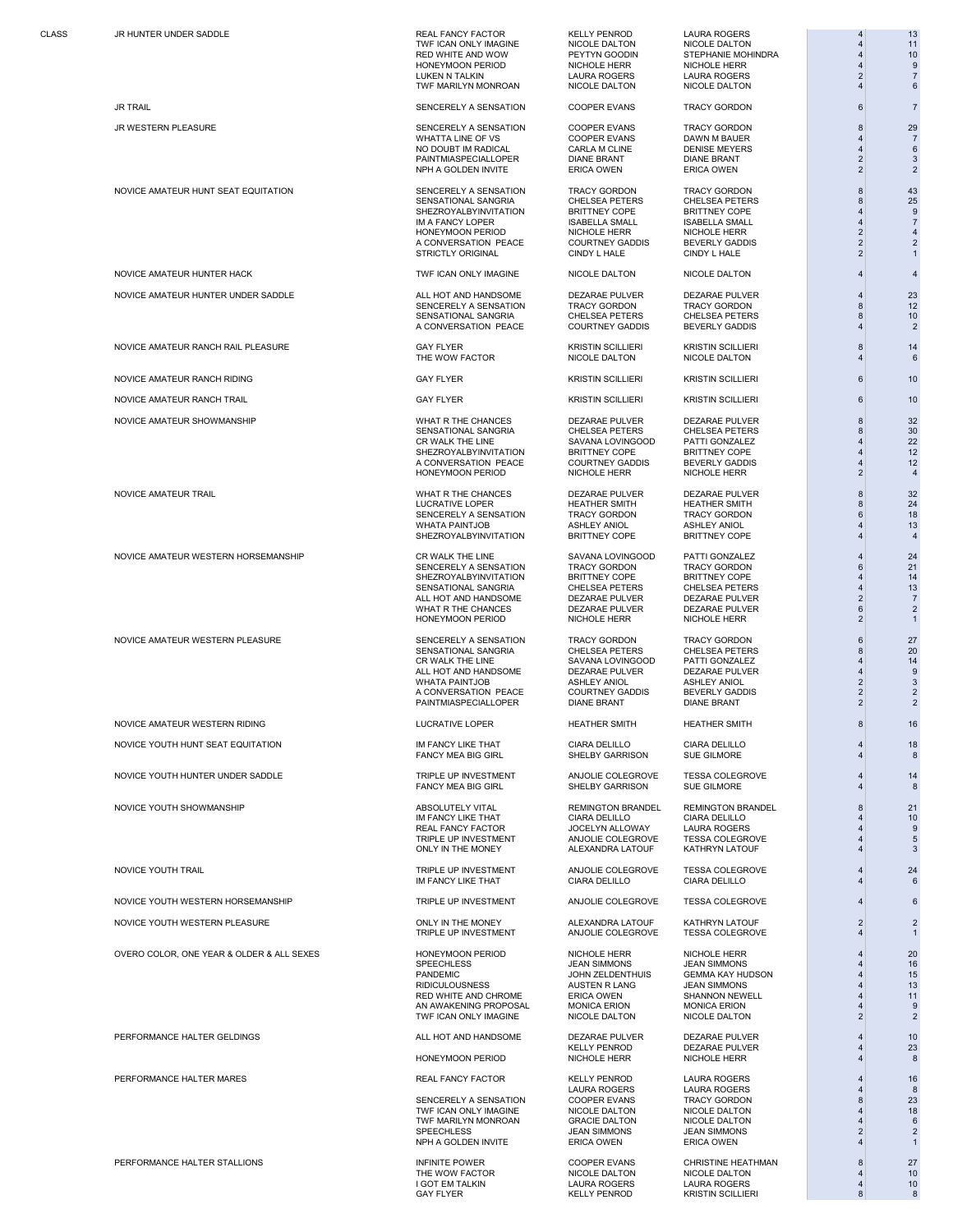NOVICE AMATEUR HUNTER HACK TWF ICAN ONLY IMAGINE NICOLE DALTON NICOLE DALTON 4 4

NOVICE AMATEUR RANCH RAIL PLEASURE THE SAND AND SAY FLYER THE WOW FACTOR THE SAND A COLLE DALTON THE MOVICE DALTON THE MOVICE DALTON THE SAND A GOLLE DALTON A GOLLE DALTON A GOLLE DALTON A GOLLE DALTON A GOLLE DALTON A GOL

NOVICE AMATEUR RANCH RIDING GARI SAN GAY FLYER KRISTIN SCILLIERI KRISTIN SCILLIERI KRISTIN SCILLIERI GILLIERI G

NOVICE AMATEUR SHOWMANSHIP WHAT R THE CHANCES DEZARAE PULVER DEZARAE PULVER 8 32

NOVICE AMATEUR WESTERN RIDING AND REALLY AND REALLY COMPUTED A REALLY AND HEATHER SMITH THEATHER SMITH AND REALLY AND REALLY AND REALLY AND REALLY AND REALLY AND REALLY AND REALLY AND REALLY AND REALLY AND REALLY AND REALL

NOVICE YOUTH WESTERN HORSEMANSHIP TRIPLE UP INVESTMENT ANJOLIE COLEGROVE TESSA COLEGROVE 4 6

PERFORMANCE HALTER MARES NARES A CHARAL FANCY FACTOR HELLY PENROD LAURA ROGERS A CHARA ROGERS A CHARA ROGERS A<br>8 16

CLASS JR HUNTER UNDER SADDLE REAL FANCY FACTOR KELLY PENROD LAURA ROGERS 4 13 TWF ICAN ONLY IMAGINE NICOLE DALTON NICOLE DALTON A 4 11<br>
THE CAN ONLY IMAGINE NICOLE DALTON NICOLE DALTON 4 11<br>
RED WHITE AND WOW PEYTYN GOODIN STEPHANIE MOHINDRA 4 10 HONEYMOON PERIOD NICHOLE HERR NICHOLE HERR 4 9 LUKEN N TALKIN LAURA ROGERS LAURA ROGERS LAURA ROGERS 2 TWF MARILYN MONROAN NICOLE DALTON NICOLE DALTON 4 6

JR TRAIL GENERAL SENCERELY A SENSATION COOPER EVANS TRACY GORDON 6 7

JR WESTERN PLEASURE SENGERELY A SENCERELY A SENSATION SENGERE VANS SENSATION SENGERE VAN SENGERE VAN SENGERE VAN SENGERE VAN SENGERE VAN SENGERE VAN SENGERE VAN SENGERE VAN SENGERE VAN SENGERE VAN SENGERE VAN SENGERE VAN S WHATTA LINE OF VS COOPER EVANS DAWN M BAUER 4 7 NO DOUBT IM RADICAL CARLA M CLINE DENISE MEYERS 4 6 PAINTMIASPECIALLOPER DIANE BRANT DIANE BRANT DIANE BRANT NO 2 NPH A GOLDEN INVITE ERICA OWEN ERICA OWEN 2 2

NOVICE AMATEUR HUNT SEAT EQUITATION SENCERELY A SENSATION TRACY GORDON TRACY GORDON SENSATIONAL SANGRIA CHELSEA PETERS CHELSEA PETERS B 25 SENSATIONAL SANGRIA CHELSEA PETERS CHELSEA PETERS 8<br>
SHEZROYALBYINVITATION BRITTNEY COPE BRITTNEY COPE 4 9<br>
MAFANCY LOPER ISABELLA SMALL ISABELLA SMALL<br>
HONEYMOON PERIOD NICHOLE HERR NICHOLE HERR 4 7<br>
4 7 SHEZROYALBYINVITATION BRITTNEY COPE BRITTNEY COPE<br>IM A FANCY LOPER 1990 SABELLA SMALL ISABELLA SMALL IM A FANCY LOPER **ISABELLA SMALL** ISABELLA SMALL **ISABELLA SMALL** HONEYMOON PERIOD NICHOLE HERR NICHOLE HERR 2 4 A CONVERSATION PEACE COURTNEY GADDIS BEVERLY GADDIS 2<br>A CONVERSATION PEACE COURTNEY GADDIS BEVERLY GADDIS 2<br>2 2 STRICTLY ORIGINAL

SENCERELY A SENSATION TRACY GORDON TRACY GORDON 8 12<br>SENSATIONAL SANGRIA CHELSEA PETERS CHELSEA PETERS 8 10 SENSATIONAL SANGRIA CHELSEA PETERS CHELSEA PETERS 10<br>A CONVERSATION PEACE COURTNEY GADDIS BEVERLY GADDIS 4 2 A CONVERSATION PEACE

THE WOW FACTOR

SENSATIONAL SANGRIA CHELSEA PETERS CHELSEA PETERS 8 30 SHEZROYALBYINVITATION BRITTNEY COPE BRITTNEY COPE 4 12<br>A CONVERSATION PEACE COURTNEY GADDIS BEVERLY GADDIS 4 12 A CONVERSATION PEACE COURTNEY GADDIS BEVERLY GADDIS 4 12<br>HONEYMOON PERIOD NICHOLE HERR NICHOLE HERR 2 4 HONEYMOON PERIOD

NOVICE AMATEUR TRAIL **1999 IN SECUL AND THE CHANCES** DEZARAE PULVER DEZARAE PULVER AND SECULVER AND SANCE AND SA<br>1999 IN SENCERELY A SENSATION TRACY GORDON TRACY GORDON TRACY GORDON 5 24<br>18 LUCRATIVE LOPER HEATHER SMITH HEATHER SMITH 8 24 SENCERELY A SENSATION TRACY GORDON TRACY GORDON 6 18 WHATA PAINTJOB ASHLEY ANIOL ASHLEY ANIOL 4 13 SHEZROYALBYINVITATION BRITTNEY COPE BRITTNEY COPE 4 4

NOVICE AMATEUR WESTERN HORSEMANSHIP CR WALK THE LINE SAVANA LOVINGOOD PATTI GONZALEZ 4 24<br>21 21 SENCERELY A SENSATION TRACY GORDON TRACY GORDON TRACY GORDON 6 21<br>SHEZROYALBYINVITATION BRITTNEY COPE BRITTNEY COPE 4 14 SHEZROYALBYINVITATION BRITTNEY COPE BRITTNEY COPE 4 14<br>SENSATIONAL SANGRIA CHELSEA PETERS CHELSEA PETERS 4 13 SENSATIONAL SANGRIA CHELSEA PETERS CHELSEA PETERS 4 13 ALL HOT AND HANDSOME DEZARAE PULVER DEZARAE PULVER 2 7 WHAT R THE CHANCES **DEZARAE PULVER DEZARAE PULVER DEZARAE PULVER 6** 2<br>
HONEYMOON PERIOD **NICHOLE HERR NICHOLE HERR 2** 1

NOVICE AMATEUR WESTERN PLEASURE THE SENCERELY A SENSATION TRACY GORDON TRACY GORDON TRACY SORDON 6 27<br>SENSATIONAL SANGRIA CHELSEA PETERS CHELSEA PETERS 6 20 SENSATIONAL SANGRIA CHELSEA PETERS CHELSEA PETERS 8 20 ALL HOT AND HANDSOME DEZARAE PULVER DEZARAE PULVER 4 9 WHATA PAINTJOB ASHLEY ANIOL ASHLEY ANIOL 2 3 A CONVERSATION PEACE COURTNEY GADDIS BEVERLY GADDIS 2 2 PAINTMIASPECIALLOPER

FANCY MEA BIG GIRL

FANCY MEA BIG GIRL

NOVICE YOUTH SHOWMANSHIP ABSOLUTELY VITAL REMINGTON BRANDEL REMINGTON BRANDEL 8 21 IM FANCY LIKE THAT CIARA DELILLO CIARA DELILLO 4 10 REAL FANCY FACTOR JOCELYN ALLOWAY LAURA ROGERS 4 9 TRIPLE UP INVESTMENT ANJOLIE COLEGROVE TESSA COLEGROVE 4 5 ONLY IN THE MONEY **ALEXANDRA LATOUF** KATHRYN LATOUF 4 3

NOVICE YOUTH TRAIL TRIPLE UP INVESTMENT ANJOLIE COLEGROVE TESSA COLEGROVE 4 24

NOVICE YOUTH WESTERN PLEASURE ONLY IN THE MONEY ALEXANDRA LATOUF KATHRYN LATOUF 2 2 TRIPLE UP INVESTMENT

OVERO COLOR, ONE YEAR & OLDER & ALL SEXES HONEYMOON PERIOD NICHOLE HERR NICHOLE HERR NICHOLE HERR 4 20<br>SPECHLESS SPECHLESS JOHN ZELDENTHUIS JEAN MONORTHUIS (SEMMA KAY HUDSON 4 16<br>15 SPEECHLESS JEAN SIMMONS JEAN SIMMONS 4 16 RIDICULOUSNESS AUSTEN R LANG JEAN SIMMONS 4 13 RED WHITE AND CHROME ERICA OWEN SHANNON NEWELL 4 11 AN AWAKENING PROPOSAL MONICA ERION MONICA ERION 4 9<br>19 TWF ICAN ONLY IMAGINE NICOLE DALTON NICOLE DALTON 2 2 TWF ICAN ONLY IMAGINE

HONEYMOON PERIOD

SENCERELY A SENSATION COOPER EVANS TRACY GORDON 8<br>
TWF ICAN ONLY IMAGINE NICOLE DALTON NICOLE DALTON 4 18<br>
TWF MARILYN MONROAN GRACIE DALTON NICOLE DALTON 4 6 TWF ICAN ONLY IMAGINE NICOLE DALTON NICOLE DALTON 4 18 TWF MARILYN MONROAN GRACIE DALTON NICOLE DALTON 4<br>SPEECHLESS JEAN JEAN SIMMONS JEAN SIMMONS 2 2<br>NPH A GOLDEN INVITE ERICA OWEN ERICA OWEN 4 1 NPH A GOLDEN INVITE

RED WHITE AND WOW PEYTYN GOODIN STEPHANIE MOHINDRA 4 10

CR WALK THE LINE SAVANA LOVINGOOD PATTI GONZALEZ 4 14

PERFORMANCE HALTER GELDINGS ALL HOT AND HANDSOME DEZARAE PULVER DEZARAE PULVER 4 10

NOVICE AMATEUR HUNTER UNDER SADDLE ALL HOT AND HANDSOME AND TRACY GORDON BEZARAE PULVER AND TRACY GORDON AND T<br>12 12 13 NOVICE AMATEUR RANCH TRAIL GARET AND SAN FLYER KRISTIN SCILLIERI KRISTIN SCILLIERI KRISTIN SCILLIERI 6 10 SAVANA LOVINGOOD PATTI GONZALEZ<br>
BRITTNEY COPE BRITTNEY COPE 4 NOVICE YOUTH HUNT SEAT EQUITATION IM FANCY LIKE THAT CIARA DELILLO CIARA DELILLO CHARA DELILLO 4 18<br>FANCY MEA BIG GIRL SHELBY GARRISON SUE GILMORE 4 8 NOVICE YOUTH HUNTER UNDER SADDLE TRIPLE UP INVESTMENT ANJOLIE COLEGROVE TESSA COLEGROVE 4 14 IM FANCY LIKE THAT CIARA DELILLO CIARA DELILLO 4 6 PHANDEL THE SEMAN WARE IN THE SELLE AND THE SELLE ASSESS TO A 15 AM AND THE SEAL OF A 15 AM AND THE SEAL OF A<br>PANDEMIC AND THE SEAL OF A 15 AM AND THE SEAL OF A 15 AM AND THE SEAL OF A 15 AM AND THE SEAL OF A 15 AM AND T<br>P

KELLY PENROD DEZARAE PULVER 4 23

LAURA ROGERS LAURA ROGERS 4 8<br>COOPER EVANS TRACY GORDON 8 23 SPEECHLESS JEAN SIMMONS JEAN SIMMONS 2 2

NICHOLE HERR

PERFORMANCE HALTER STALLIONS COOPER EVANS COOPER EVANS CHRISTINE HEATHMAN REATHMAN 10<br>THE WOW FACTOR NICOLE DALTON NICOLE DALTON NICOLE DALTON NICOLE DALTON 4 10 THE WOW FACTOR NICOLE DALTON NICOLE DALTON 4 10 I GOT EM TALKIN LAURA ROGERS LAURA ROGERS LAURA ROGERS 4 10<br>GAY FLYER KELLY PENROD KRISTIN SCILLIERI 8 8 KRISTIN SCILLIERI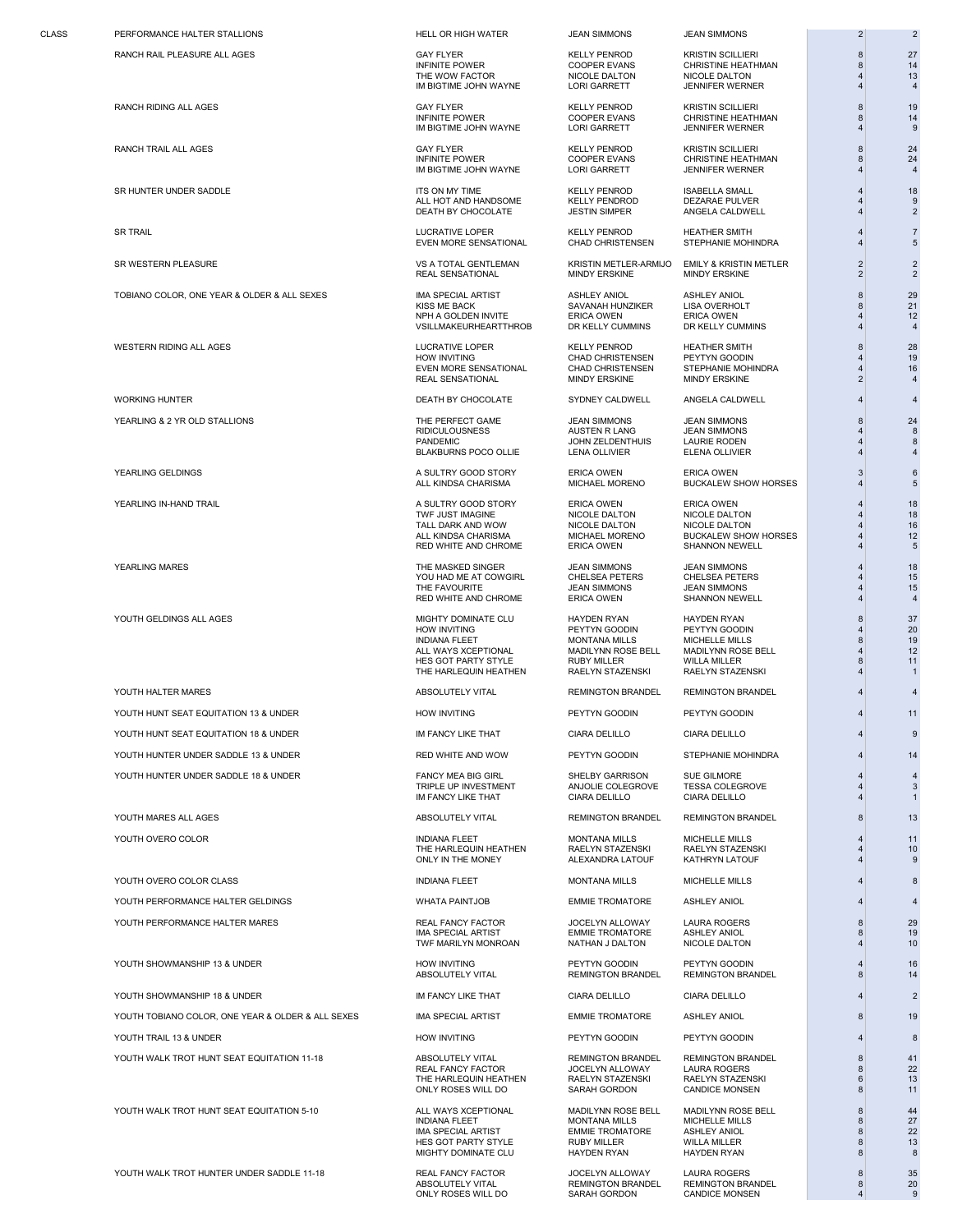CLASS PERFORMANCE HALTER STALLIONS CLASS HELL OR HIGH WATER JEAN SIMMONS JEAN SIMMONS 2 2

TOBIANO COLOR, ONE YEAR & OLDER & ALL SEXES THE MAN SPECIAL ARTIST ASHLEY ANIOL ASHLEY ANIOL ASHLEY ANIOL ASHLEY ANIOL ASHLEY ANIOL ASHLEY ANIOL ASHLEY ANIOL ASHLEY ANIOL ASHLEY ANIOL ASHLEY ANIOL ASHLEY ANIOL ASHLEY ANIOL

WESTERN RIDING ALL AGES LUCRATIVE LOPER KELLY PENROD HEATHER SMITH 8 28

WORKING HUNTER DEATH BY CHOCOLATE SYDNEY CALDWELL ANGELA CALDWELL 4 4

YOUTH HALTER MARES ABSOLUTELY VITAL REMINGTON BRANDEL REMINGTON BRANDEL 4 4 YOUTH HUNT SEAT EQUITATION 13 & UNDER HOW INVITING PEYTYN GOODIN PEYTYN GOODIN PEYTYN GOODIN 4 11 YOUTH HUNT SEAT EQUITATION 18 & UNDER IM FANCY LIKE THAT CIARA DELILLO CIARA DELILLO CHARA DELILLO 4 9 YOUTH HUNTER UNDER SADDLE 13 & UNDER RED WHITE AND WOW PEYTYN GOODIN STEPHANIE MOHINDRA 4 14 YOUTH HUNTER UNDER SADDLE 18 & UNDER FANCY MEA BIG GIRL SHELBY GARRISON SUE GILMORE FANCY AND A 4 4 4 4 4 4 4 4<br>TRIPLE UP INVESTMENT ANJOLIE COLEGROVE TESSA COLEGROVE 4 3

YOUTH MARES ALL AGES ABSOLUTELY VITAL REMINGTON BRANDEL REMINGTON BRANDEL | 13

YOUTH OVERO COLOR CLASS INDIANA FLEET MONTANA MILLS MICHELLE MILLS 4 8 YOUTH PERFORMANCE HALTER GELDINGS WHATA PAINTJOB EMMIE TROMATORE ASHLEY ANIOL 4 4

YOUTH SHOWMANSHIP 18 & UNDER THAT THAT THAT CIARA DELILLO CIARA DELILLO CIARA DELILLO 4 2 YOUTH TOBIANO COLOR, ONE YEAR & OLDER & ALL SEXES IMA SPECIAL ARTIST FANNIE TROMATORE ASHLEY ANIOL 8 3 19 YOUTH TRAIL 13 & UNDER A HOW INVITING HOW INVITING PEYTYN GOODIN PEYTYN GOODIN A 4 8 YOUTH WALK TROT HUNT SEAT EQUITATION 11-18 ABSOLUTELY VITAL REMINGTON BRANDEL REMINGTON BRANDEL 8 41

YOUTH WALK TROT HUNT SEAT EQUITATION 5-10 ALL WAYS XCEPTIONAL MADILYNN ROSE BELL MADILYNN ROSE BELL NICHELLE MILLS<br>And Montana Mills Michelle Mills Michelle Mills Montana Mills Michelle Mills Michelle Mills 8 27

RANCH RAIL PLEASURE ALL AGES CONTROL THE GAY FLYER COMPLETE WELLY PENROD KRISTIN SCILLIERI SANCH PEATHMAN NEWSLE<br>INFINITE POWER COOPER EVANS CHRISTINE HEATHMAN 8 14 INFINITE POWER COOPER EVANS CHRISTINE HEATHMAN 6 14<br>
THE WOW FACTOR MICOLE DALTON NICOLE DALTON 4 13 THE WOW FACTOR **NICOLE DALTON** NICOLE DALTON **NICOLE DALTON** NICOLE DALTON IM BIGTIME JOHN WAYNE LORI GARRETT JENNIFER WERNER 4 4

IM BIGTIME JOHN WAYNE LORI GARRETT JENNIFER WERNER 4 9

RANCH TRAIL ALL AGES GAY FLYER KELLY PENROD KRISTIN SCILLIERI 8 24 INFINITE POWER  $\sim$  COOPER EVANS CHRISTINE HEATHMAN  $\sim$  8 24 IM BIGTIME JOHN WAYNE LORI GARRETT JENNIFER WERNER 4 4

SR HUNTER UNDER SADDLE ITS ON MY TIME KELLY PENROD ISABELLA SMALL 4 18 ALL HOT AND HANDSOME RELLY PENDROD DEZARAE PULVER 4 9<br>ALL HOT AND HANDSOME KELLY PENDROD DEZARAE PULVER 4 9<br>DEATH BY CHOCOLATE JESTIN SIMPER ANGELA CALDWELL 4 2 DEATH BY CHOCOLATE

SR TRAIL **SAME AT A SET A SET A SET A SET A SET A SET A SET A SET A SET A SET A SET A SET A SET A SET A SET A S** EVEN MORE SENSATIONAL CHAD CHRISTENSEN STEPHANIE MOHINDRA 4 5

REAL SENSATIONAL

NPH A GOLDEN INVITE FRICA OWEN ERICA OWEN ERICA OWEN A 4 12<br>
VSILLMAKEURHEARTTHROB DR KELLY CUMMINS DR KELLY CUMMINS 4 4 4 **VSILLMAKEURHEARTTHROB** 

HOW INVITING CHAD CHAD CHRISTENSEN PEYTYN GOODIN 4 19<br>EVEN MORE SENSATIONAL CHAD CHRISTENSEN STEPHANIE MOHINDRA 4 16 REAL SENSATIONAL

YEARLING & 2 YR OLD STALLIONS THE PERFECT GAME THE PERFECT GAME THE PERFECT GAME THE STAND SIMMONS THE PERFECT GAME RIDICULOUSNESS AUSTEN R LANG JEAN SIMMONS 4 8 BLAKBURNS POCO OLLIE

YEARLING GELDINGS A SULTRY GOOD STORY ERICA OWEN ERICA OWEN 6 ALL KINDSA CHARISMA MICHAEL MORENO BUCKALEW SHOW HORSES 4 5

YEARLING IN-HAND TRAIL A SULTRY GOOD STORY ERICA OWEN ERICA OWEN 4 18 RED WHITE AND CHROME

YEARLING MARES THE MASKED SINGER JEAN SIMMONS JEAN SIMMONS | 18 YOU HAD ME AT COWGIRL CHELSEA PETERS CHELSEA PETERS  $\begin{array}{ccc} 4 & 15 \\ 4 & 15 \end{array}$ THE FAVOURITE JEAN SIMMONS JEAN SIMMONS 4 15 RED WHITE AND CHROME

YOUTH GELDINGS ALL AGES MIGHTY DOMINATE CLU HAYDEN RYAN HAYDEN RYAN 37 HOW INVITING PEYTYN GOODIN PEYTYN GOODIN 4 20 INDIANA FLEET MONTANA MILLS MICHELLE MILLS 8 19 ALL WAYS XCEPTIONAL MADILYNN ROSE BELL MADILYNN ROSE BELL 4 12 HES GOT PARTY STYLE RUBY MILLER WILLA MILLER 8 11 THE HARLEQUIN HEATHEN

IM FANCY LIKE THAT

YOUTH OVERO COLOR THE HARLEQUIN HEATHEN MONTANA MILLS MICHELLE MILLS A 4 11<br>THE HARLEQUIN HEATHEN RAELYN STAZENSKI RAELYN STAZENSKI 4 10 THE HARLEQUIN HEATHEN RAELYN STAZENSKI RAELYN STAZENSKI 4 10

YOUTH PERFORMANCE HALTER MARES THE REAL FANCY FACTOR SERVER ALLOWAR TO A LAURA ROGERS THE REAL FANCY FACTOR SE<br>IMA SPECIAL ARTIST THE EMME TROMATORE ASHLEY ANIOL SERVER A SHLEY ANIOL SERVER A SHLEY ANIOL SERVER ANIOL SERV IMA SPECIAL ARTIST **EMMIE TROMATORE** ASHLEY ANIOL **8**<br>
IMA SPECIAL ARTIST **EMMIE TROMATORE** ASHLEY ANIOL **8** 19<br>
10 10 TWF MARILYN MONROAN

REAL FANCY FACTOR JOCELYN ALLOWAY LAURA ROGERS 8 22 THE HARLEQUIN HEATHEN RAELYN STAZENSKI RAELYN STAZENSKI 6 13 ONLY ROSES WILL DO

IMA SPECIAL ARTIST EMMIE TROMATORE ASHLEY ANIOL 8 22 HES GOT PARTY STYLE RUBY MILLER WILLA MILLER 8 13 MIGHTY DOMINATE CLU

YOUTH WALK TROT HUNTER UNDER SADDLE 11-18 REAL FANCY FACTOR SECOND ACCELYN ALLOWAY LAURA ROGERS REAL REAL REAL TO<br>ABSOLUTELY VITAL REMINGTON BRANDEL REMINGTON BRANDEL REMINGTON BRANDEL REMINGTON BRANDEL 8 20 ONLY ROSES WILL DO

PANDEMIC JOHN ZELDENTHUIS LAURIE RODEN 44

TRIPLE UP INVESTMENT ANJOLIE COLEGROVE TESSA COLEGROVE 4 3

YOUTH SHOWMANSHIP 13 & UNDER THE REAL THEORY INVITING HOW INVITING THE PEYTYN GOODIN PEYTYN GOODIN PEYTYN GOODIN<br>ABSOLUTELY VITAL REMINGTON BRANDEL REMINGTON BRANDEL REMINGTON BRANDEL AND REMINGTON BRANDEL REMINGTON BRANDEL

INDIANA FLEET MONTANA MILLS MICHELLE MILLS 8 27

REMINGTON BRANDEL REMINGTON BRANDEL 20<br>
SARAH GORDON CANDICE MONSEN 4 9

RANCH RIDING ALL AGES GAY FLYER KELLY PENROD KRISTIN SCILLIERI 8 19 INFINITE POWER COOPER EVANS CHRISTINE HEATHMAN 8 14

SR WESTERN PLEASURE VS A TOTAL GENTLEMAN KRISTIN METLER-ARMIJO EMILY & KRISTIN METLER 2 2

SAVANAH HUNZIKER LISA OVERHOLT 8 21<br>ERICA OWEN ERICA OWEN 4 22

EVEN MORE SENSATIONAL CHAD CHRISTENSEN STEPHANIE MOHINDRA 4 16

TWF JUST IMAGINE NICOLE DALTON NICOLE DALTON 4 18 TALL DARK AND WOW NICOLE DALTON NICOLE DALTON NICOLE DALTON 4 16<br>ALL KINDSA CHARISMA MICHAEL MORENO BUCKALEW SHOW HORSES 4 12 ALC ALL AND THE MICHAEL MORENO AND BUCKALEW SHOW HORSES 4 12<br>
ERICA OWEN SHANNON NEWELL 4 5

KATHRYN LATOUF